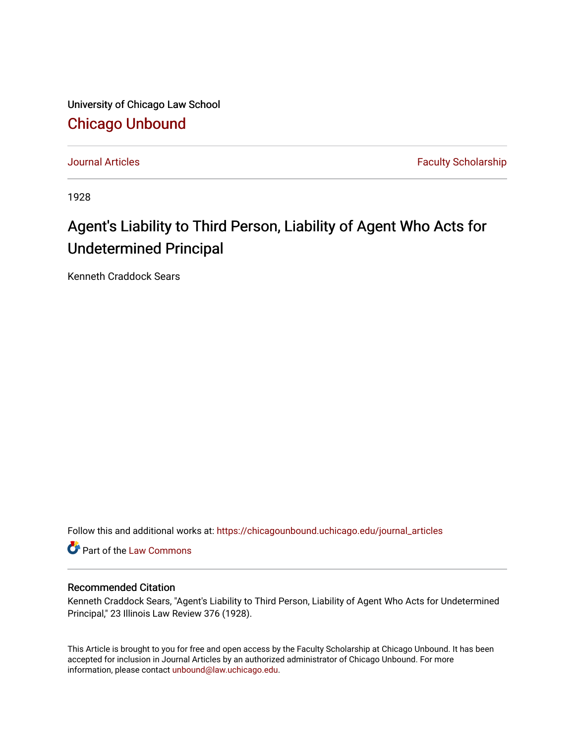University of Chicago Law School [Chicago Unbound](https://chicagounbound.uchicago.edu/)

[Journal Articles](https://chicagounbound.uchicago.edu/journal_articles) **Faculty Scholarship Journal Articles** 

1928

## Agent's Liability to Third Person, Liability of Agent Who Acts for Undetermined Principal

Kenneth Craddock Sears

Follow this and additional works at: [https://chicagounbound.uchicago.edu/journal\\_articles](https://chicagounbound.uchicago.edu/journal_articles?utm_source=chicagounbound.uchicago.edu%2Fjournal_articles%2F8883&utm_medium=PDF&utm_campaign=PDFCoverPages) 

Part of the [Law Commons](http://network.bepress.com/hgg/discipline/578?utm_source=chicagounbound.uchicago.edu%2Fjournal_articles%2F8883&utm_medium=PDF&utm_campaign=PDFCoverPages)

## Recommended Citation

Kenneth Craddock Sears, "Agent's Liability to Third Person, Liability of Agent Who Acts for Undetermined Principal," 23 Illinois Law Review 376 (1928).

This Article is brought to you for free and open access by the Faculty Scholarship at Chicago Unbound. It has been accepted for inclusion in Journal Articles by an authorized administrator of Chicago Unbound. For more information, please contact [unbound@law.uchicago.edu](mailto:unbound@law.uchicago.edu).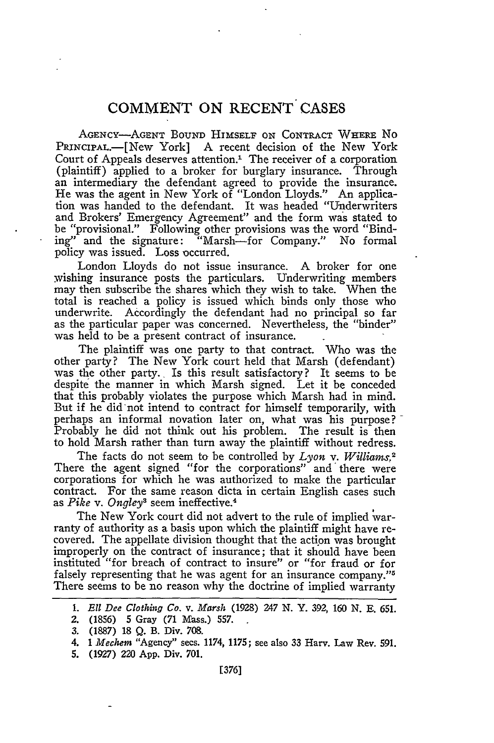## **COMMENT ON RECENT CASES**

AGENCY-AGENT BOUND HIMSELF ON CONTRACT WHERE NO PRINCIPAL.-[New York] A recent decision of the New York Court of Appeals deserves attention.' The receiver of a corporation (plaintiff) applied to a broker for burglary insurance. Through an intermediary the defendant agreed to provide the insurance. He was the agent in New York of "London Lloyds." An application was handed to the defendant. It was headed "Underwriters and Brokers' Emergency Agreement" and the form was stated to be "provisional." Following other provisions was the word "Bind-<br>ing" and the signature: "Marsh—for Company." No formal "Marsh-for Company." No formal policy was issued. Loss occurred.

London Lloyds do not issue insurance. A broker for one wishing insurance posts the particulars. Underwriting members may then subscribe the shares which they wish to take. When the total is reached a policy is issued which binds only those who underwrite. Accordingly the defendant had no principal so far as the particular paper was concerned. Nevertheless, the "binder" was held to be a present contract of insurance.

The plaintiff was one party to that contract. Who was the other party? The New York court held that Marsh (defendant) was the other party. Is this result satisfactory? It seems to be despite the manner in which Marsh signed. Let it be conceded that this probably violates the purpose which Marsh had in mind. But if he did-not intend to contract for himself temporarily, with perhaps an informal novation later on, what was his purpose? Probably he did not think out his problem. The result is then to hold Marsh rather than turn away the plaintiff without redress.

The facts do not seem to be controlled by *Lyon v. Williams.2* There the agent signed "for the corporations" and there were corporations for which he was authorized to make the particular contract. For the same reason dicta in certain English cases such as *Pike v. Ongley3* seem ineffective.<sup>4</sup>

The New York court did not advert to the rule of implied varranty of authority as a basis upon which the plaintiff might have recovered. The appellate division thought that the action was brought improperly on the contract of insurance; that it should have been instituted "for breach of contract to insure" or "for fraud or for falsely representing that he was agent for an insurance company."<sup>5</sup> There seems to be no reason why the doctrine of implied warranty

**5.** (1927) 220 **App.** Div. 701.

*<sup>1.</sup>* **E l** *Dee Clothing Co. v. Marsh* (1928) 247 **N.** Y. 392, 160 **N. E. 651.**

<sup>2. (1856)</sup> **5** Gray (71 Mass.) 557.

<sup>3. (1887) 18</sup> Q. B. Div. 708.

<sup>4.</sup> *1 Mechem* "Agency" secs. 1174, 1175; see also **33** Harv. Law Rev. 591.